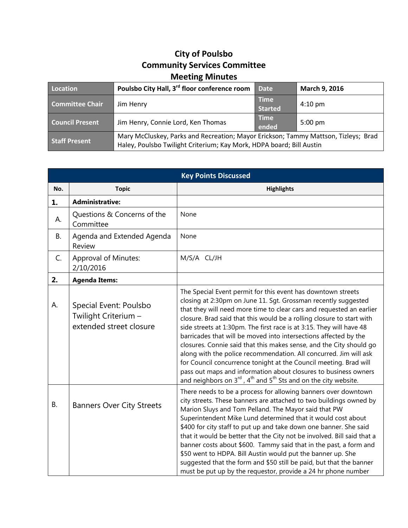## **City of Poulsbo Community Services Committee Meeting Minutes**

| Location               | Poulsbo City Hall, 3 <sup>rd</sup> floor conference room                                                                                                   | <b>Date</b>                   | March 9, 2016     |
|------------------------|------------------------------------------------------------------------------------------------------------------------------------------------------------|-------------------------------|-------------------|
| <b>Committee Chair</b> | Jim Henry                                                                                                                                                  | <b>Time</b><br><b>Started</b> | $4:10 \text{ pm}$ |
| <b>Council Present</b> | Jim Henry, Connie Lord, Ken Thomas                                                                                                                         | <b>Time</b><br>ended          | $5:00 \text{ pm}$ |
| <b>Staff Present</b>   | Mary McCluskey, Parks and Recreation; Mayor Erickson; Tammy Mattson, Tizleys; Brad<br>Haley, Poulsbo Twilight Criterium; Kay Mork, HDPA board; Bill Austin |                               |                   |

| <b>Key Points Discussed</b> |                                                                           |                                                                                                                                                                                                                                                                                                                                                                                                                                                                                                                                                                                                                                                                                                                                                                                                   |  |  |
|-----------------------------|---------------------------------------------------------------------------|---------------------------------------------------------------------------------------------------------------------------------------------------------------------------------------------------------------------------------------------------------------------------------------------------------------------------------------------------------------------------------------------------------------------------------------------------------------------------------------------------------------------------------------------------------------------------------------------------------------------------------------------------------------------------------------------------------------------------------------------------------------------------------------------------|--|--|
| No.                         | <b>Topic</b>                                                              | <b>Highlights</b>                                                                                                                                                                                                                                                                                                                                                                                                                                                                                                                                                                                                                                                                                                                                                                                 |  |  |
| 1.                          | <b>Administrative:</b>                                                    |                                                                                                                                                                                                                                                                                                                                                                                                                                                                                                                                                                                                                                                                                                                                                                                                   |  |  |
| А.                          | Questions & Concerns of the<br>Committee                                  | None                                                                                                                                                                                                                                                                                                                                                                                                                                                                                                                                                                                                                                                                                                                                                                                              |  |  |
| <b>B.</b>                   | Agenda and Extended Agenda<br>Review                                      | None                                                                                                                                                                                                                                                                                                                                                                                                                                                                                                                                                                                                                                                                                                                                                                                              |  |  |
| C.                          | <b>Approval of Minutes:</b><br>2/10/2016                                  | M/S/A CL/JH                                                                                                                                                                                                                                                                                                                                                                                                                                                                                                                                                                                                                                                                                                                                                                                       |  |  |
| 2.                          | <b>Agenda Items:</b>                                                      |                                                                                                                                                                                                                                                                                                                                                                                                                                                                                                                                                                                                                                                                                                                                                                                                   |  |  |
| А.                          | Special Event: Poulsbo<br>Twilight Criterium -<br>extended street closure | The Special Event permit for this event has downtown streets<br>closing at 2:30pm on June 11. Sgt. Grossman recently suggested<br>that they will need more time to clear cars and requested an earlier<br>closure. Brad said that this would be a rolling closure to start with<br>side streets at 1:30pm. The first race is at 3:15. They will have 48<br>barricades that will be moved into intersections affected by the<br>closures. Connie said that this makes sense, and the City should go<br>along with the police recommendation. All concurred. Jim will ask<br>for Council concurrence tonight at the Council meeting. Brad will<br>pass out maps and information about closures to business owners<br>and neighbors on $3^{rd}$ , $4^{th}$ and $5^{th}$ Sts and on the city website. |  |  |
| <b>B.</b>                   | <b>Banners Over City Streets</b>                                          | There needs to be a process for allowing banners over downtown<br>city streets. These banners are attached to two buildings owned by<br>Marion Sluys and Tom Pelland. The Mayor said that PW<br>Superintendent Mike Lund determined that it would cost about<br>\$400 for city staff to put up and take down one banner. She said<br>that it would be better that the City not be involved. Bill said that a<br>banner costs about \$600. Tammy said that in the past, a form and<br>\$50 went to HDPA. Bill Austin would put the banner up. She<br>suggested that the form and \$50 still be paid, but that the banner<br>must be put up by the requestor, provide a 24 hr phone number                                                                                                          |  |  |